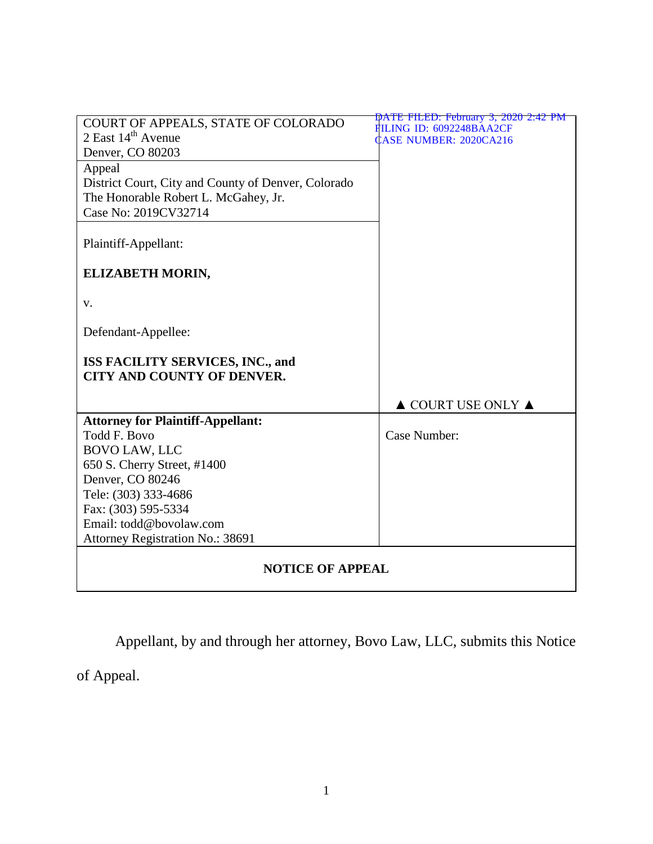| COURT OF APPEALS, STATE OF COLORADO                 | DATE FILED: February 3, 2020 2:42 PM                     |
|-----------------------------------------------------|----------------------------------------------------------|
| 2 East $14th$ Avenue                                | ILING ID: 6092248BAA2CF<br><b>CASE NUMBER: 2020CA216</b> |
| Denver, CO 80203                                    |                                                          |
| Appeal                                              |                                                          |
| District Court, City and County of Denver, Colorado |                                                          |
| The Honorable Robert L. McGahey, Jr.                |                                                          |
| Case No: 2019CV32714                                |                                                          |
|                                                     |                                                          |
| Plaintiff-Appellant:                                |                                                          |
|                                                     |                                                          |
| ELIZABETH MORIN,                                    |                                                          |
|                                                     |                                                          |
| V.                                                  |                                                          |
|                                                     |                                                          |
| Defendant-Appellee:                                 |                                                          |
|                                                     |                                                          |
| ISS FACILITY SERVICES, INC., and                    |                                                          |
| <b>CITY AND COUNTY OF DENVER.</b>                   |                                                          |
|                                                     |                                                          |
|                                                     | $\triangle$ COURT USE ONLY $\triangle$                   |
| <b>Attorney for Plaintiff-Appellant:</b>            |                                                          |
| <b>Todd F. Bovo</b>                                 | Case Number:                                             |
| <b>BOVO LAW, LLC</b>                                |                                                          |
| 650 S. Cherry Street, #1400                         |                                                          |
| Denver, CO 80246                                    |                                                          |
| Tele: (303) 333-4686                                |                                                          |
| Fax: (303) 595-5334                                 |                                                          |
| Email: todd@bovolaw.com                             |                                                          |
| Attorney Registration No.: 38691                    |                                                          |
|                                                     |                                                          |
| <b>NOTICE OF APPEAL</b>                             |                                                          |
|                                                     |                                                          |

Appellant, by and through her attorney, Bovo Law, LLC, submits this Notice

of Appeal.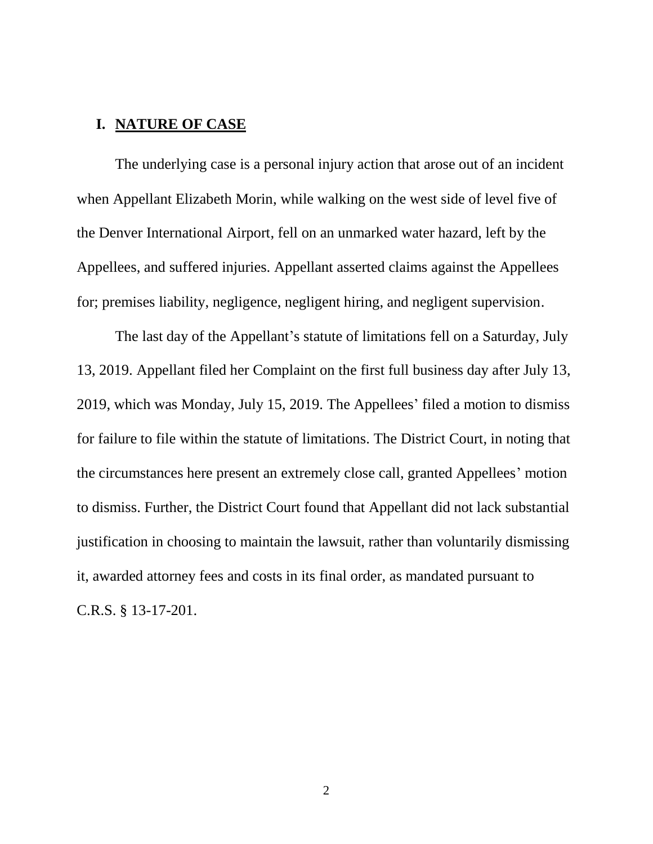#### **I. NATURE OF CASE**

The underlying case is a personal injury action that arose out of an incident when Appellant Elizabeth Morin, while walking on the west side of level five of the Denver International Airport, fell on an unmarked water hazard, left by the Appellees, and suffered injuries. Appellant asserted claims against the Appellees for; premises liability, negligence, negligent hiring, and negligent supervision.

The last day of the Appellant's statute of limitations fell on a Saturday, July 13, 2019. Appellant filed her Complaint on the first full business day after July 13, 2019, which was Monday, July 15, 2019. The Appellees' filed a motion to dismiss for failure to file within the statute of limitations. The District Court, in noting that the circumstances here present an extremely close call, granted Appellees' motion to dismiss. Further, the District Court found that Appellant did not lack substantial justification in choosing to maintain the lawsuit, rather than voluntarily dismissing it, awarded attorney fees and costs in its final order, as mandated pursuant to C.R.S. § 13-17-201.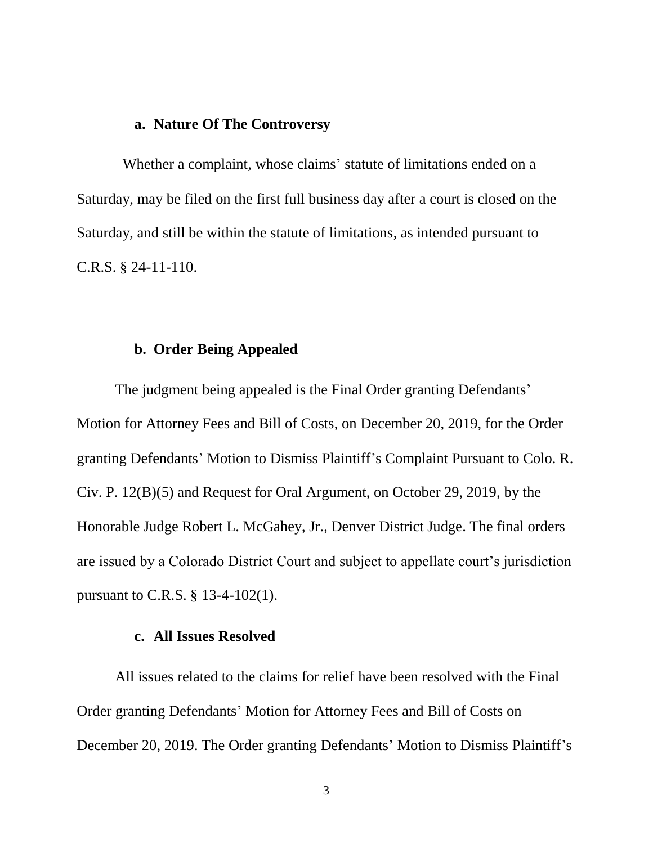### **a. Nature Of The Controversy**

Whether a complaint, whose claims' statute of limitations ended on a Saturday, may be filed on the first full business day after a court is closed on the Saturday, and still be within the statute of limitations, as intended pursuant to C.R.S. § 24-11-110.

#### **b. Order Being Appealed**

The judgment being appealed is the Final Order granting Defendants' Motion for Attorney Fees and Bill of Costs, on December 20, 2019, for the Order granting Defendants' Motion to Dismiss Plaintiff's Complaint Pursuant to Colo. R. Civ. P. 12(B)(5) and Request for Oral Argument, on October 29, 2019, by the Honorable Judge Robert L. McGahey, Jr., Denver District Judge. The final orders are issued by a Colorado District Court and subject to appellate court's jurisdiction pursuant to C.R.S. § 13-4-102(1).

### **c. All Issues Resolved**

All issues related to the claims for relief have been resolved with the Final Order granting Defendants' Motion for Attorney Fees and Bill of Costs on December 20, 2019. The Order granting Defendants' Motion to Dismiss Plaintiff's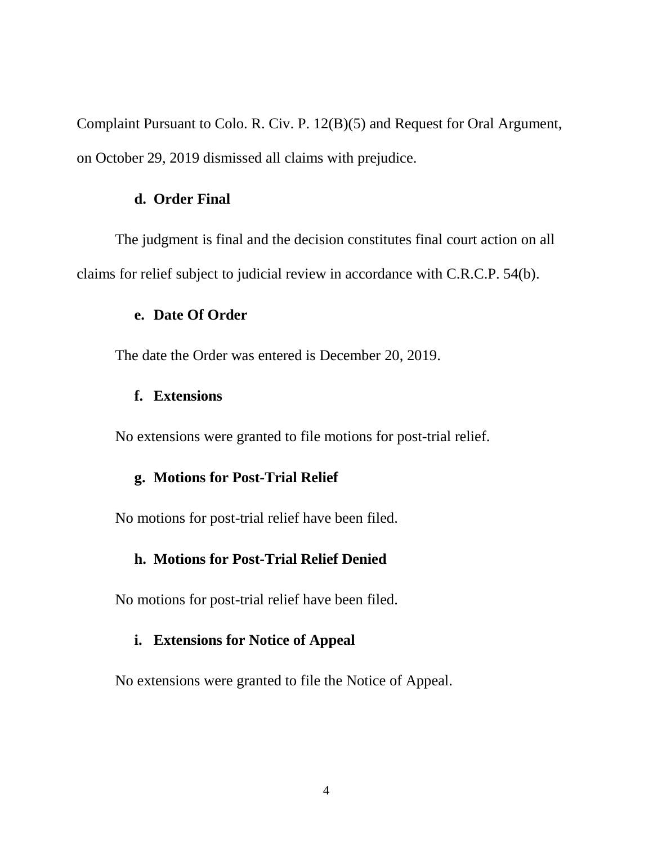Complaint Pursuant to Colo. R. Civ. P. 12(B)(5) and Request for Oral Argument, on October 29, 2019 dismissed all claims with prejudice.

#### **d. Order Final**

The judgment is final and the decision constitutes final court action on all claims for relief subject to judicial review in accordance with C.R.C.P. 54(b).

#### **e. Date Of Order**

The date the Order was entered is December 20, 2019.

#### **f. Extensions**

No extensions were granted to file motions for post-trial relief.

## **g. Motions for Post-Trial Relief**

No motions for post-trial relief have been filed.

#### **h. Motions for Post-Trial Relief Denied**

No motions for post-trial relief have been filed.

## **i. Extensions for Notice of Appeal**

No extensions were granted to file the Notice of Appeal.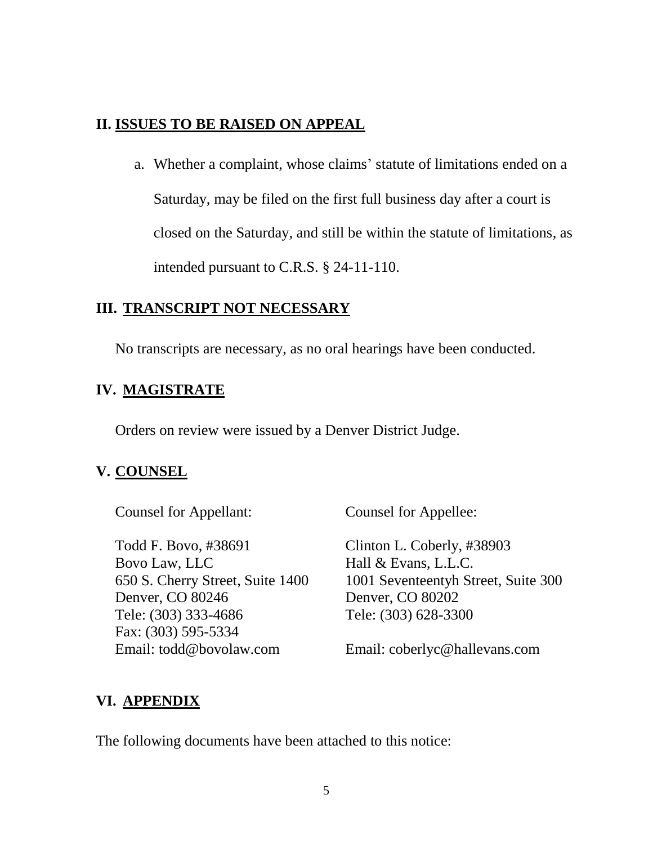## **II. ISSUES TO BE RAISED ON APPEAL**

a. Whether a complaint, whose claims' statute of limitations ended on a Saturday, may be filed on the first full business day after a court is closed on the Saturday, and still be within the statute of limitations, as intended pursuant to C.R.S. § 24-11-110.

## **III. TRANSCRIPT NOT NECESSARY**

No transcripts are necessary, as no oral hearings have been conducted.

# **IV. MAGISTRATE**

Orders on review were issued by a Denver District Judge.

# **V. COUNSEL**

Counsel for Appellant: Counsel for Appellee:

Todd F. Bovo, #38691 Clinton L. Coberly, #38903 Bovo Law, LLC Hall & Evans, L.L.C. Denver, CO 80246 Denver, CO 80202 Tele: (303) 333-4686 Tele: (303) 628-3300 Fax: (303) 595-5334 Email: todd@bovolaw.com Email: coberlyc@hallevans.com

650 S. Cherry Street, Suite 1400 1001 Seventeentyh Street, Suite 300

# **VI. APPENDIX**

The following documents have been attached to this notice: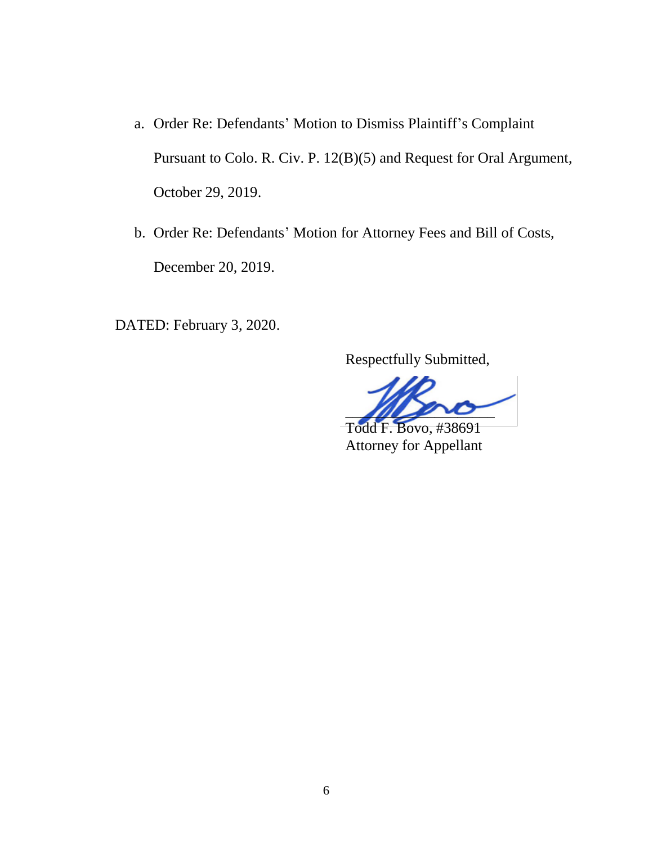- a. Order Re: Defendants' Motion to Dismiss Plaintiff's Complaint Pursuant to Colo. R. Civ. P. 12(B)(5) and Request for Oral Argument, October 29, 2019.
- b. Order Re: Defendants' Motion for Attorney Fees and Bill of Costs, December 20, 2019.

DATED: February 3, 2020.

Respectfully Submitted,

 $\sqrt{2}$ 

 Todd F. Bovo, #38691 Attorney for Appellant